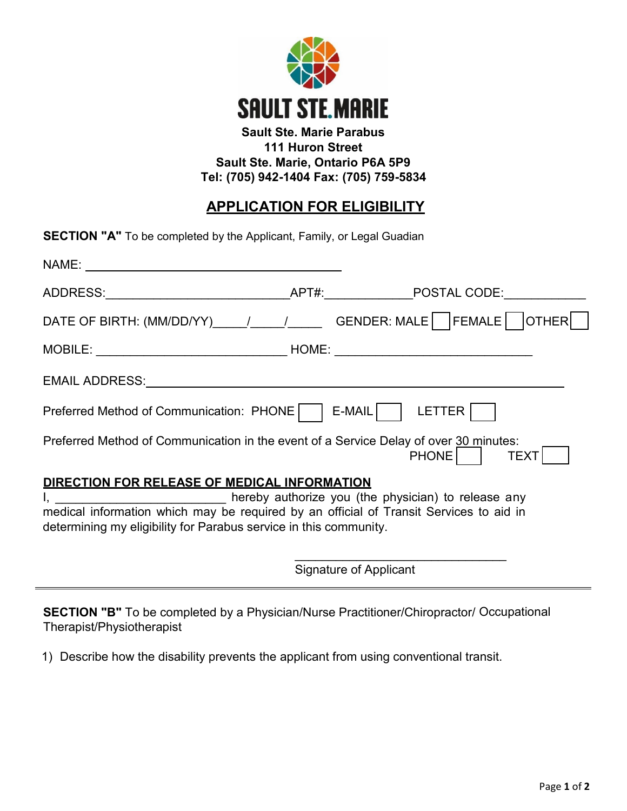

## **Sault Ste. Marie Parabus 111 Huron Street Sault Ste. Marie, Ontario P6A 5P9 Tel: (705) 942-1404 Fax: (705) 759-5834**

## **APPLICATION FOR ELIGIBILITY**

| <b>SECTION "A"</b> To be completed by the Applicant, Family, or Legal Guadian                                                                               |  |                                                                            |  |  |  |  |
|-------------------------------------------------------------------------------------------------------------------------------------------------------------|--|----------------------------------------------------------------------------|--|--|--|--|
|                                                                                                                                                             |  |                                                                            |  |  |  |  |
|                                                                                                                                                             |  |                                                                            |  |  |  |  |
|                                                                                                                                                             |  | DATE OF BIRTH: (MM/DD/YY)_____/_____/________GENDER: MALE   FEMALE   OTHER |  |  |  |  |
|                                                                                                                                                             |  |                                                                            |  |  |  |  |
| EMAIL ADDRESS: University of the state of the state of the state of the state of the state of the state of the                                              |  |                                                                            |  |  |  |  |
| Preferred Method of Communication: PHONE   E-MAIL   LETTER                                                                                                  |  |                                                                            |  |  |  |  |
| Preferred Method of Communication in the event of a Service Delay of over 30 minutes:<br><b>PHONE</b><br><b>TEXT</b>                                        |  |                                                                            |  |  |  |  |
| DIRECTION FOR RELEASE OF MEDICAL INFORMATION                                                                                                                |  |                                                                            |  |  |  |  |
| I, ____________________________ hereby authorize you (the physician) to release any                                                                         |  |                                                                            |  |  |  |  |
| medical information which may be required by an official of Transit Services to aid in<br>determining my eligibility for Parabus service in this community. |  |                                                                            |  |  |  |  |

Signature of Applicant

\_\_\_\_\_\_\_\_\_\_\_\_\_\_\_\_\_\_\_\_\_\_\_\_\_\_\_\_\_\_\_

**SECTION "B"** To be completed by a Physician/Nurse Practitioner/Chiropractor/ Occupational Therapist/Physiotherapist

1) Describe how the disability prevents the applicant from using conventional transit.